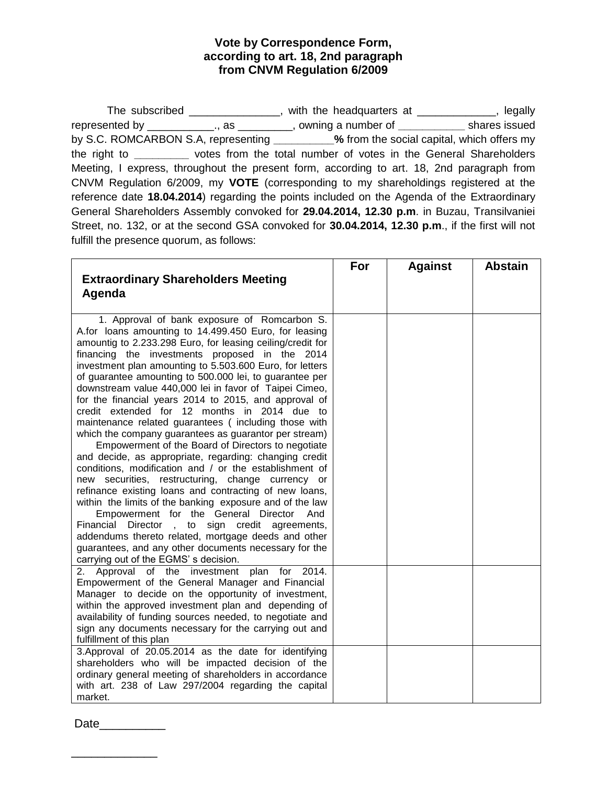## **Vote by Correspondence Form, according to art. 18, 2nd paragraph from CNVM Regulation 6/2009**

The subscribed \_\_\_\_\_\_\_\_\_\_\_\_\_\_, with the headquarters at \_\_\_\_\_\_\_\_\_\_\_, legally represented by \_\_\_\_\_\_\_\_\_\_\_., as \_\_\_\_\_\_\_\_\_, owning a number of **\_\_\_\_\_\_\_\_\_\_\_** shares issued by S.C. ROMCARBON S.A, representing **\_\_\_\_\_\_\_\_\_\_%** from the social capital, which offers my the right to **\_\_\_\_\_\_\_\_\_** votes from the total number of votes in the General Shareholders Meeting, I express, throughout the present form, according to art. 18, 2nd paragraph from CNVM Regulation 6/2009, my **VOTE** (corresponding to my shareholdings registered at the reference date **18.04.2014**) regarding the points included on the Agenda of the Extraordinary General Shareholders Assembly convoked for **29.04.2014, 12.30 p.m**. in Buzau, Transilvaniei Street, no. 132, or at the second GSA convoked for **30.04.2014, 12.30 p.m**., if the first will not fulfill the presence quorum, as follows:

| <b>Extraordinary Shareholders Meeting</b>                                                                                                                                                                                                                                                                                                                                                                                                                                                                                                                                                                                                                                                                                                                                                                                                                                                                                                                                                                                                                                                                                                                                                                                                      | For | <b>Against</b> | <b>Abstain</b> |
|------------------------------------------------------------------------------------------------------------------------------------------------------------------------------------------------------------------------------------------------------------------------------------------------------------------------------------------------------------------------------------------------------------------------------------------------------------------------------------------------------------------------------------------------------------------------------------------------------------------------------------------------------------------------------------------------------------------------------------------------------------------------------------------------------------------------------------------------------------------------------------------------------------------------------------------------------------------------------------------------------------------------------------------------------------------------------------------------------------------------------------------------------------------------------------------------------------------------------------------------|-----|----------------|----------------|
| Agenda                                                                                                                                                                                                                                                                                                                                                                                                                                                                                                                                                                                                                                                                                                                                                                                                                                                                                                                                                                                                                                                                                                                                                                                                                                         |     |                |                |
| 1. Approval of bank exposure of Romcarbon S.<br>A.for loans amounting to 14.499.450 Euro, for leasing<br>amountig to 2.233.298 Euro, for leasing ceiling/credit for<br>financing the investments proposed in the 2014<br>investment plan amounting to 5.503.600 Euro, for letters<br>of guarantee amounting to 500.000 lei, to guarantee per<br>downstream value 440,000 lei in favor of Taipei Cimeo,<br>for the financial years 2014 to 2015, and approval of<br>credit extended for 12 months in 2014 due to<br>maintenance related guarantees (including those with<br>which the company guarantees as guarantor per stream)<br>Empowerment of the Board of Directors to negotiate<br>and decide, as appropriate, regarding: changing credit<br>conditions, modification and / or the establishment of<br>new securities, restructuring, change currency or<br>refinance existing loans and contracting of new loans,<br>within the limits of the banking exposure and of the law<br>Empowerment for the General Director<br>And<br>Financial Director, to sign credit agreements,<br>addendums thereto related, mortgage deeds and other<br>guarantees, and any other documents necessary for the<br>carrying out of the EGMS's decision. |     |                |                |
| 2. Approval of the investment plan<br>for<br>2014.<br>Empowerment of the General Manager and Financial<br>Manager to decide on the opportunity of investment,<br>within the approved investment plan and depending of<br>availability of funding sources needed, to negotiate and<br>sign any documents necessary for the carrying out and<br>fulfillment of this plan                                                                                                                                                                                                                                                                                                                                                                                                                                                                                                                                                                                                                                                                                                                                                                                                                                                                         |     |                |                |
| 3. Approval of 20.05.2014 as the date for identifying<br>shareholders who will be impacted decision of the<br>ordinary general meeting of shareholders in accordance<br>with art. 238 of Law 297/2004 regarding the capital<br>market.                                                                                                                                                                                                                                                                                                                                                                                                                                                                                                                                                                                                                                                                                                                                                                                                                                                                                                                                                                                                         |     |                |                |

Date the set of  $\sim$ 

\_\_\_\_\_\_\_\_\_\_\_\_\_